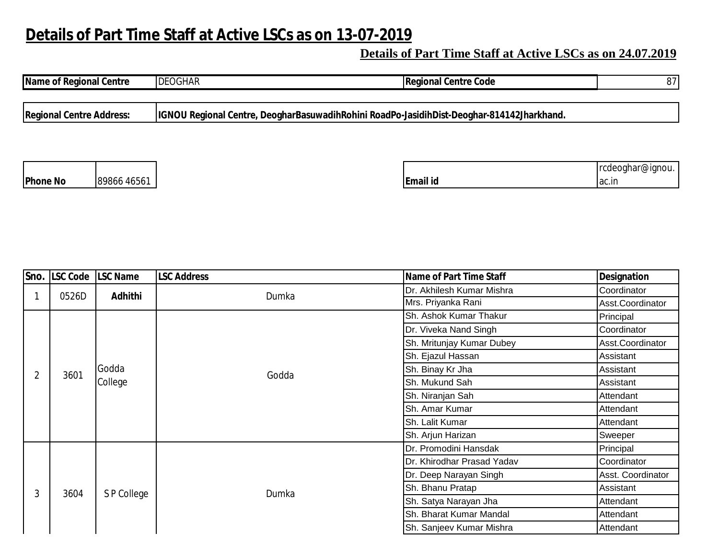## **Details of Part Time Staff at Active LSCs as on 13-07-2019**

## **Details of Part Time Staff at Active LSCs as on 24.07.2019**

| <b>Name of Regional Centre</b>  |             | <b>DEOGHAR</b> | <b>Regional Centre Code</b>                                                               | 87                        |
|---------------------------------|-------------|----------------|-------------------------------------------------------------------------------------------|---------------------------|
| <b>Regional Centre Address:</b> |             |                | IGNOU Regional Centre, DeogharBasuwadihRohini RoadPo-JasidihDist-Deoghar-814142Jharkhand. |                           |
|                                 |             |                |                                                                                           |                           |
| <b>Phone No</b>                 | 89866 46561 |                | Email id                                                                                  | rcdeoghar@ignou.<br>ac.in |

|                | Sno. LSC Code LSC Name |                  | <b>LSC Address</b> | Name of Part Time Staff    | <b>Designation</b> |
|----------------|------------------------|------------------|--------------------|----------------------------|--------------------|
|                | 0526D                  | Adhithi          | Dumka              | Dr. Akhilesh Kumar Mishra  | Coordinator        |
|                |                        |                  |                    | Mrs. Priyanka Rani         | Asst.Coordinator   |
|                | 3601                   | Godda<br>College | Godda              | Sh. Ashok Kumar Thakur     | Principal          |
| $\overline{2}$ |                        |                  |                    | Dr. Viveka Nand Singh      | Coordinator        |
|                |                        |                  |                    | Sh. Mritunjay Kumar Dubey  | Asst.Coordinator   |
|                |                        |                  |                    | Sh. Ejazul Hassan          | Assistant          |
|                |                        |                  |                    | Sh. Binay Kr Jha           | Assistant          |
|                |                        |                  |                    | Sh. Mukund Sah             | Assistant          |
|                |                        |                  |                    | Sh. Niranjan Sah           | Attendant          |
|                |                        |                  |                    | Sh. Amar Kumar             | Attendant          |
|                |                        |                  |                    | Sh. Lalit Kumar            | Attendant          |
|                |                        |                  |                    | Sh. Arjun Harizan          | Sweeper            |
| 3              | 3604                   | S P College      | Dumka              | Dr. Promodini Hansdak      | Principal          |
|                |                        |                  |                    | Dr. Khirodhar Prasad Yadav | Coordinator        |
|                |                        |                  |                    | Dr. Deep Narayan Singh     | Asst. Coordinator  |
|                |                        |                  |                    | Sh. Bhanu Pratap           | Assistant          |
|                |                        |                  |                    | Sh. Satya Narayan Jha      | Attendant          |
|                |                        |                  |                    | Sh. Bharat Kumar Mandal    | Attendant          |
|                |                        |                  |                    | Sh. Sanjeev Kumar Mishra   | Attendant          |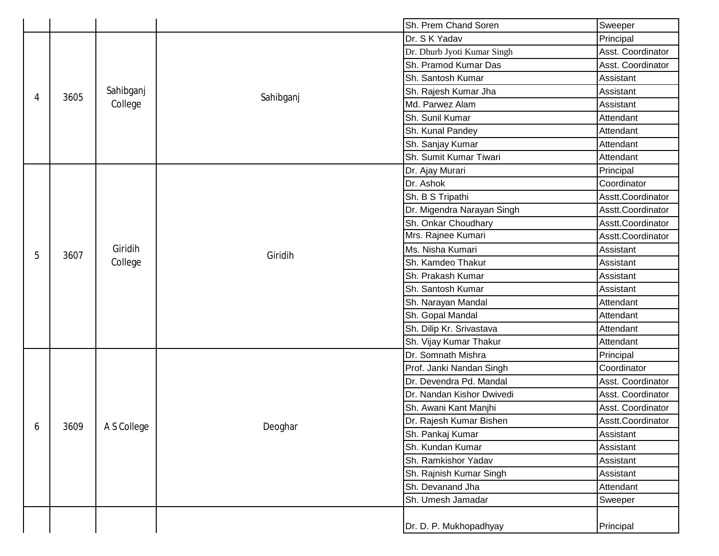|   |      |                      |                         | Sh. Prem Chand Soren        | Sweeper           |
|---|------|----------------------|-------------------------|-----------------------------|-------------------|
| 4 | 3605 |                      |                         | Dr. S K Yadav               | Principal         |
|   |      |                      |                         | Dr. Dhurb Jyoti Kumar Singh | Asst. Coordinator |
|   |      |                      |                         | Sh. Pramod Kumar Das        | Asst. Coordinator |
|   |      | Sahibganj<br>College | Sahibganj               | Sh. Santosh Kumar           | Assistant         |
|   |      |                      |                         | Sh. Rajesh Kumar Jha        | Assistant         |
|   |      |                      |                         | Md. Parwez Alam             | Assistant         |
|   |      |                      |                         | Sh. Sunil Kumar             | Attendant         |
|   |      |                      |                         | Sh. Kunal Pandey            | Attendant         |
|   |      |                      |                         | Sh. Sanjay Kumar            | Attendant         |
|   |      |                      |                         | Sh. Sumit Kumar Tiwari      | Attendant         |
|   |      |                      |                         | Dr. Ajay Murari             | Principal         |
|   |      |                      |                         | Dr. Ashok                   | Coordinator       |
|   |      |                      |                         | Sh. B S Tripathi            | Asstt.Coordinator |
|   |      |                      |                         | Dr. Migendra Narayan Singh  | Asstt.Coordinator |
|   |      |                      |                         | Sh. Onkar Choudhary         | Asstt.Coordinator |
|   |      |                      |                         | Mrs. Rajnee Kumari          | Asstt.Coordinator |
| 5 | 3607 | Giridih              | Giridih                 | Ms. Nisha Kumari            | Assistant         |
|   |      | College              |                         | Sh. Kamdeo Thakur           | Assistant         |
|   |      |                      |                         | Sh. Prakash Kumar           | Assistant         |
|   |      | Sh. Gopal Mandal     | Sh. Santosh Kumar       | Assistant                   |                   |
|   |      |                      |                         | Sh. Narayan Mandal          | Attendant         |
|   |      |                      |                         |                             | Attendant         |
|   |      |                      |                         | Sh. Dilip Kr. Srivastava    | Attendant         |
|   |      |                      |                         | Sh. Vijay Kumar Thakur      | Attendant         |
|   |      |                      |                         | Dr. Somnath Mishra          | Principal         |
|   |      |                      |                         | Prof. Janki Nandan Singh    | Coordinator       |
|   |      |                      | Dr. Devendra Pd. Mandal | Asst. Coordinator           |                   |
|   |      |                      |                         | Dr. Nandan Kishor Dwivedi   | Asst. Coordinator |
|   |      |                      |                         | Sh. Awani Kant Manjhi       | Asst. Coordinator |
| 6 | 3609 | A S College          | Deoghar                 | Dr. Rajesh Kumar Bishen     | Asstt.Coordinator |
|   |      |                      |                         | Sh. Pankaj Kumar            | Assistant         |
|   |      |                      |                         | Sh. Kundan Kumar            | Assistant         |
|   |      |                      |                         | Sh. Ramkishor Yadav         | Assistant         |
|   |      |                      |                         | Sh. Rajnish Kumar Singh     | Assistant         |
|   |      |                      |                         | Sh. Devanand Jha            | Attendant         |
|   |      |                      |                         | Sh. Umesh Jamadar           | Sweeper           |
|   |      |                      |                         |                             |                   |
|   |      |                      |                         | Dr. D. P. Mukhopadhyay      | Principal         |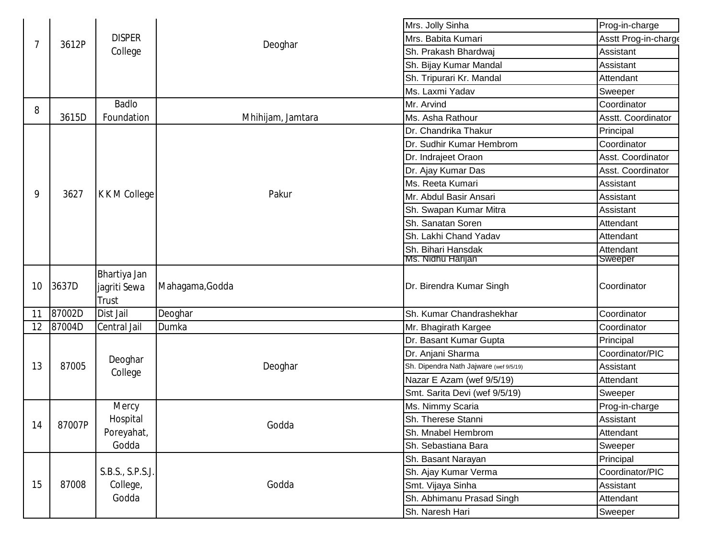|    |        |                              |                   | Mrs. Jolly Sinha                       | Prog-in-charge       |
|----|--------|------------------------------|-------------------|----------------------------------------|----------------------|
| 7  | 3612P  | <b>DISPER</b>                |                   | Mrs. Babita Kumari                     | Asstt Prog-in-charge |
|    |        | College                      | Deoghar           | Sh. Prakash Bhardwaj                   | Assistant            |
|    |        |                              |                   | Sh. Bijay Kumar Mandal                 | Assistant            |
|    |        |                              |                   | Sh. Tripurari Kr. Mandal               | Attendant            |
|    |        |                              |                   | Ms. Laxmi Yadav                        | Sweeper              |
| 8  |        | <b>Badlo</b>                 |                   | Mr. Arvind                             | Coordinator          |
|    | 3615D  | Foundation                   | Mhihijam, Jamtara | Ms. Asha Rathour                       | Asstt. Coordinator   |
|    |        |                              |                   | Dr. Chandrika Thakur                   | Principal            |
|    |        |                              |                   | Dr. Sudhir Kumar Hembrom               | Coordinator          |
|    |        |                              |                   | Dr. Indrajeet Oraon                    | Asst. Coordinator    |
|    |        |                              |                   | Dr. Ajay Kumar Das                     | Asst. Coordinator    |
|    | 3627   |                              | Pakur             | Ms. Reeta Kumari                       | Assistant            |
| 9  |        | K K M College                |                   | Mr. Abdul Basir Ansari                 | Assistant            |
|    |        |                              |                   | Sh. Swapan Kumar Mitra                 | Assistant            |
|    |        |                              |                   | Sh. Sanatan Soren                      | Attendant            |
|    |        |                              |                   | Sh. Lakhi Chand Yadav                  | Attendant            |
|    |        |                              |                   | Sh. Bihari Hansdak                     | Attendant            |
|    |        |                              |                   | Ms. Nidhu Harijan                      | Sweeper              |
| 10 | 3637D  | Bhartiya Jan<br>jagriti Sewa | Mahagama, Godda   | Dr. Birendra Kumar Singh               | Coordinator          |
|    |        | Trust                        |                   |                                        |                      |
| 11 | 87002D | Dist Jail                    | Deoghar           | Sh. Kumar Chandrashekhar               | Coordinator          |
| 12 | 87004D | Central Jail                 | Dumka             | Mr. Bhagirath Kargee                   | Coordinator          |
|    | 87005  | Deoghar                      | Deoghar           | Dr. Basant Kumar Gupta                 | Principal            |
|    |        |                              |                   | Dr. Anjani Sharma                      | Coordinator/PIC      |
| 13 |        |                              |                   | Sh. Dipendra Nath Jajware (wef 9/5/19) | Assistant            |
|    |        | College                      |                   | Nazar E Azam (wef 9/5/19)              | Attendant            |
|    |        |                              |                   | Smt. Sarita Devi (wef 9/5/19)          | Sweeper              |
|    | 87007P | Mercy<br>Hospital            | Godda             | Ms. Nimmy Scaria                       | Prog-in-charge       |
|    |        |                              |                   | Sh. Therese Stanni                     | Assistant            |
| 14 |        | Poreyahat,                   |                   | Sh. Mnabel Hembrom                     | Attendant            |
|    |        | Godda                        |                   | Sh. Sebastiana Bara                    | Sweeper              |
| 15 | 87008  | S.B.S., S.P.S.J.<br>College, | Godda             | Sh. Basant Narayan                     | Principal            |
|    |        |                              |                   | Sh. Ajay Kumar Verma                   | Coordinator/PIC      |
|    |        |                              |                   | Smt. Vijaya Sinha                      | Assistant            |
|    |        | Godda                        |                   | Sh. Abhimanu Prasad Singh              | Attendant            |
|    |        |                              |                   |                                        |                      |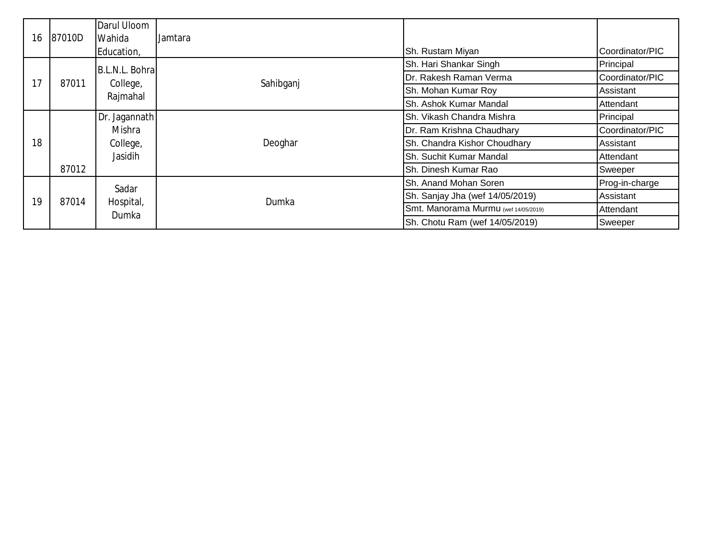|    |        | Darul Uloom                             |           |                                      |                 |
|----|--------|-----------------------------------------|-----------|--------------------------------------|-----------------|
| 16 | 87010D | <b>Wahida</b>                           | Jamtara   |                                      |                 |
|    |        | Education,                              |           | Sh. Rustam Miyan                     | Coordinator/PIC |
| 17 | 87011  | B.L.N.L. Bohral<br>College,<br>Rajmahal | Sahibganj | Sh. Hari Shankar Singh               | Principal       |
|    |        |                                         |           | Dr. Rakesh Raman Verma               | Coordinator/PIC |
|    |        |                                         |           | Sh. Mohan Kumar Roy                  | Assistant       |
|    |        |                                         |           | Sh. Ashok Kumar Mandal               | Attendant       |
|    |        | Dr. Jagannath                           |           | Sh. Vikash Chandra Mishra            | Principal       |
|    |        | Mishra                                  |           | Dr. Ram Krishna Chaudhary            | Coordinator/PIC |
| 18 |        | College,                                | Deoghar   | Sh. Chandra Kishor Choudhary         | Assistant       |
|    |        | Jasidih                                 |           | Sh. Suchit Kumar Mandal              | Attendant       |
|    | 87012  |                                         |           | Sh. Dinesh Kumar Rao                 | Sweeper         |
| 19 | 87014  | Sadar<br>Hospital,<br>Dumka             | Dumka     | Sh. Anand Mohan Soren                | Prog-in-charge  |
|    |        |                                         |           | Sh. Sanjay Jha (wef 14/05/2019)      | Assistant       |
|    |        |                                         |           | Smt. Manorama Murmu (wef 14/05/2019) | Attendant       |
|    |        |                                         |           | Sh. Chotu Ram (wef 14/05/2019)       | Sweeper         |